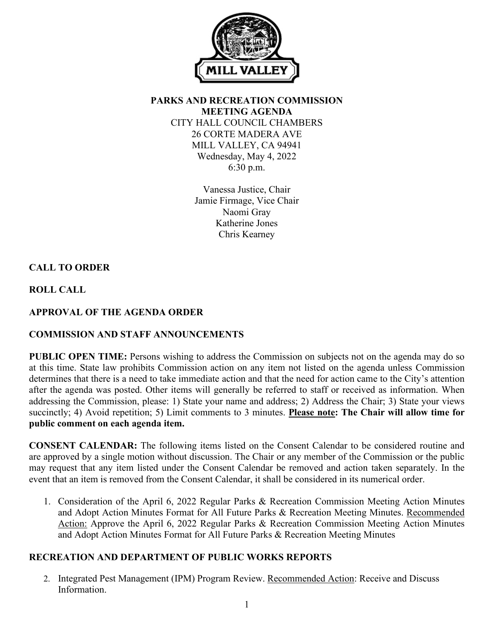

**PARKS AND RECREATION COMMISSION MEETING AGENDA** CITY HALL COUNCIL CHAMBERS 26 CORTE MADERA AVE MILL VALLEY, CA 94941 Wednesday, May 4, 2022 6:30 p.m.

> Vanessa Justice, Chair Jamie Firmage, Vice Chair Naomi Gray Katherine Jones Chris Kearney

# **CALL TO ORDER**

**ROLL CALL**

# **APPROVAL OF THE AGENDA ORDER**

## **COMMISSION AND STAFF ANNOUNCEMENTS**

**PUBLIC OPEN TIME:** Persons wishing to address the Commission on subjects not on the agenda may do so at this time. State law prohibits Commission action on any item not listed on the agenda unless Commission determines that there is a need to take immediate action and that the need for action came to the City's attention after the agenda was posted. Other items will generally be referred to staff or received as information. When addressing the Commission, please: 1) State your name and address; 2) Address the Chair; 3) State your views succinctly; 4) Avoid repetition; 5) Limit comments to 3 minutes. **Please note: The Chair will allow time for public comment on each agenda item.**

**CONSENT CALENDAR:** The following items listed on the Consent Calendar to be considered routine and are approved by a single motion without discussion. The Chair or any member of the Commission or the public may request that any item listed under the Consent Calendar be removed and action taken separately. In the event that an item is removed from the Consent Calendar, it shall be considered in its numerical order.

1. Consideration of the April 6, 2022 Regular Parks & Recreation Commission Meeting Action Minutes and Adopt Action Minutes Format for All Future Parks & Recreation Meeting Minutes. Recommended Action: Approve the April 6, 2022 Regular Parks & Recreation Commission Meeting Action Minutes and Adopt Action Minutes Format for All Future Parks & Recreation Meeting Minutes

## **RECREATION AND DEPARTMENT OF PUBLIC WORKS REPORTS**

2. Integrated Pest Management (IPM) Program Review. Recommended Action: Receive and Discuss Information.